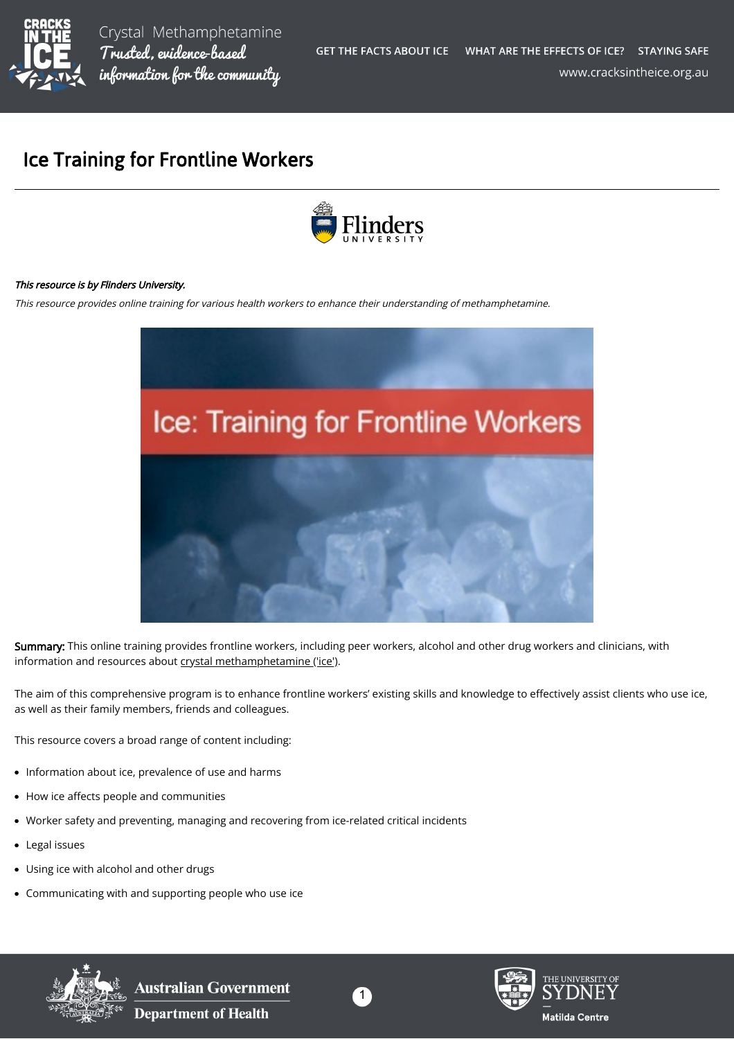

# Ice Training for Frontline Workers



#### This resource is by Flinders University.

This resource provides online training for various health workers to enhance their understanding of methamphetamine.



Summary: This online training provides frontline workers, including peer workers, alcohol and other drug workers and clinicians, with information and resources about [crystal methamphetamine \('ice'\).](https://cracksintheice.org.au/what-is-ice)

The aim of this comprehensive program is to enhance frontline workers' existing skills and knowledge to effectively assist clients who use ice, as well as their family members, friends and colleagues.

This resource covers a broad range of content including:

- Information about ice, prevalence of use and harms
- How ice affects people and communities  $\bullet$
- Worker safety and preventing, managing and recovering from ice-related critical incidents
- Legal issues  $\bullet$
- Using ice with alcohol and other drugs
- Communicating with and supporting people who use ice



**Australian Government Department of Health** 





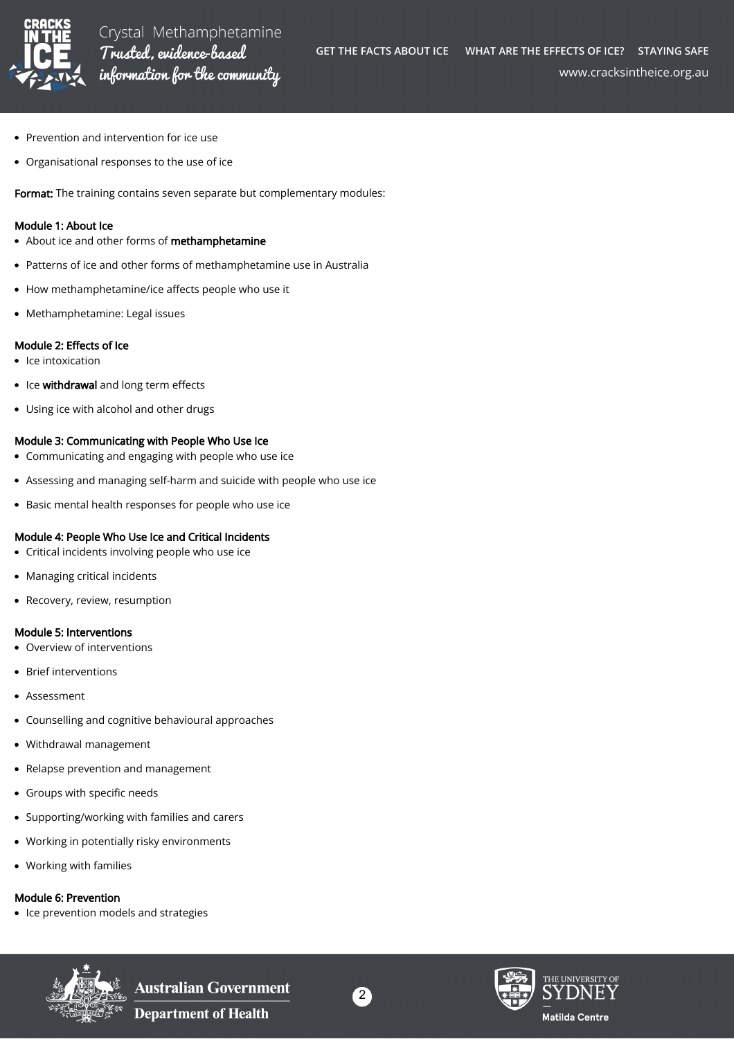

www.cracksintheice.org.au

- Prevention and intervention for ice use
- Organisational responses to the use of ice

Format: The training contains seven separate but complementary modules:

#### Module 1: About Ice

- About ice and other forms of methamphetamine
- Patterns of ice and other forms of methamphetamine use in Australia  $\bullet$
- How methamphetamine/ice affects people who use it
- Methamphetamine: Legal issues

## Module 2: Effects of Ice

- Ice intoxication
- Ice withdrawal and long term effects
- Using ice with alcohol and other drugs

## Module 3: Communicating with People Who Use Ice

- Communicating and engaging with people who use ice
- Assessing and managing self-harm and suicide with people who use ice
- Basic mental health responses for people who use ice

## Module 4: People Who Use Ice and Critical Incidents

- Critical incidents involving people who use ice
- Managing critical incidents
- Recovery, review, resumption

## Module 5: Interventions

- Overview of interventions
- Brief interventions
- Assessment
- Counselling and cognitive behavioural approaches
- Withdrawal management
- Relapse prevention and management
- Groups with specific needs
- Supporting/working with families and carers
- Working in potentially risky environments
- Working with families

# Module 6: Prevention

• Ice prevention models and strategies



**Australian Government** 

**Department of Health**